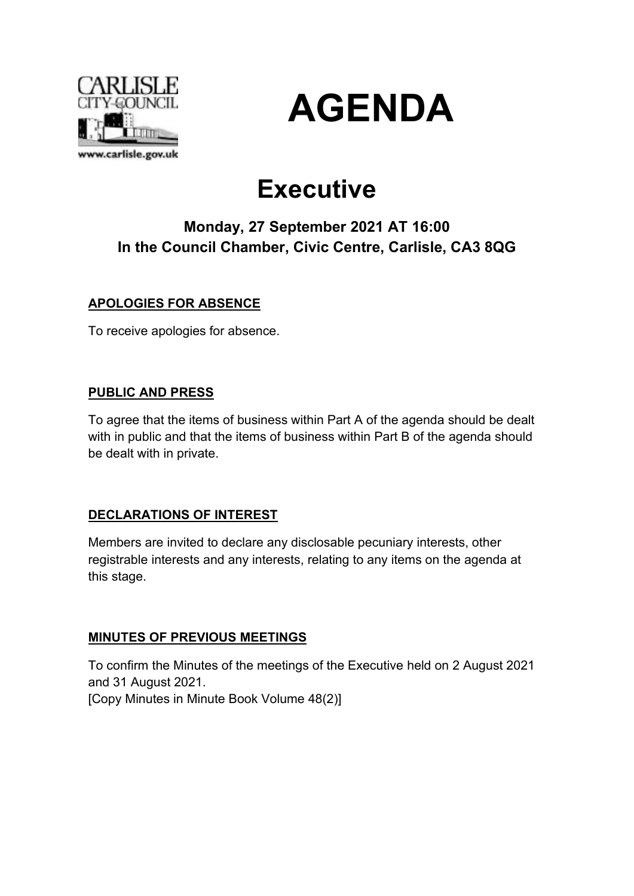



# **Executive**

## **Monday, 27 September 2021 AT 16:00 In the Council Chamber, Civic Centre, Carlisle, CA3 8QG**

## **APOLOGIES FOR ABSENCE**

To receive apologies for absence.

## **PUBLIC AND PRESS**

To agree that the items of business within Part A of the agenda should be dealt with in public and that the items of business within Part B of the agenda should be dealt with in private.

## **DECLARATIONS OF INTEREST**

Members are invited to declare any disclosable pecuniary interests, other registrable interests and any interests, relating to any items on the agenda at this stage.

## **MINUTES OF PREVIOUS MEETINGS**

To confirm the Minutes of the meetings of the Executive held on 2 August 2021 and 31 August 2021.

[Copy Minutes in Minute Book Volume 48(2)]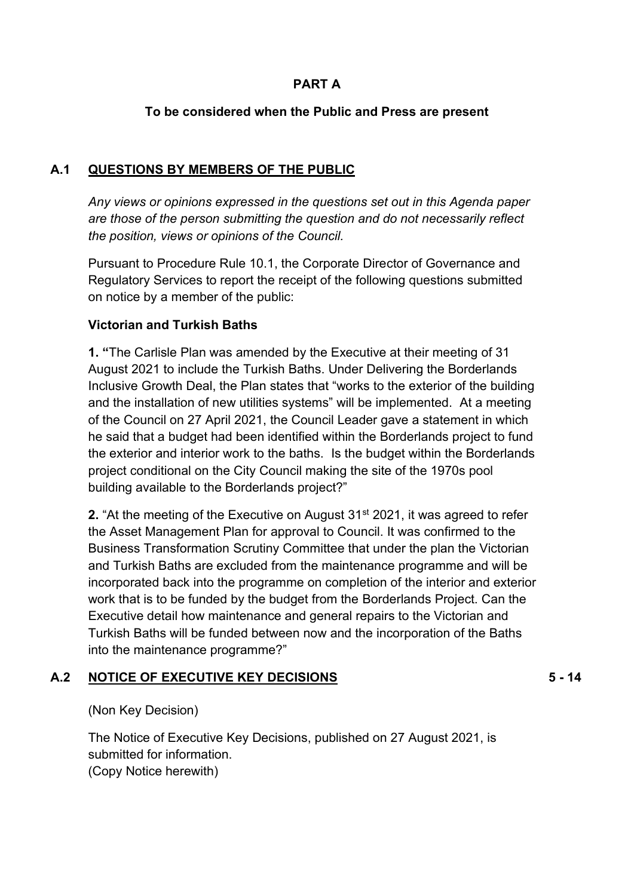## **PART A**

### **To be considered when the Public and Press are present**

#### **A.1 QUESTIONS BY MEMBERS OF THE PUBLIC**

*Any views or opinions expressed in the questions set out in this Agenda paper are those of the person submitting the question and do not necessarily reflect the position, views or opinions of the Council.*

Pursuant to Procedure Rule 10.1, the Corporate Director of Governance and Regulatory Services to report the receipt of the following questions submitted on notice by a member of the public:

#### **Victorian and Turkish Baths**

**1. "**The Carlisle Plan was amended by the Executive at their meeting of 31 August 2021 to include the Turkish Baths. Under Delivering the Borderlands Inclusive Growth Deal, the Plan states that "works to the exterior of the building and the installation of new utilities systems" will be implemented. At a meeting of the Council on 27 April 2021, the Council Leader gave a statement in which he said that a budget had been identified within the Borderlands project to fund the exterior and interior work to the baths. Is the budget within the Borderlands project conditional on the City Council making the site of the 1970s pool building available to the Borderlands project?"

**2.** "At the meeting of the Executive on August 31<sup>st</sup> 2021, it was agreed to refer the Asset Management Plan for approval to Council. It was confirmed to the Business Transformation Scrutiny Committee that under the plan the Victorian and Turkish Baths are excluded from the maintenance programme and will be incorporated back into the programme on completion of the interior and exterior work that is to be funded by the budget from the Borderlands Project. Can the Executive detail how maintenance and general repairs to the Victorian and Turkish Baths will be funded between now and the incorporation of the Baths into the maintenance programme?"

#### **A.2 NOTICE OF EXECUTIVE KEY DECISIONS**

**5 - 14**

(Non Key Decision)

The Notice of Executive Key Decisions, published on 27 August 2021, is submitted for information.

(Copy Notice herewith)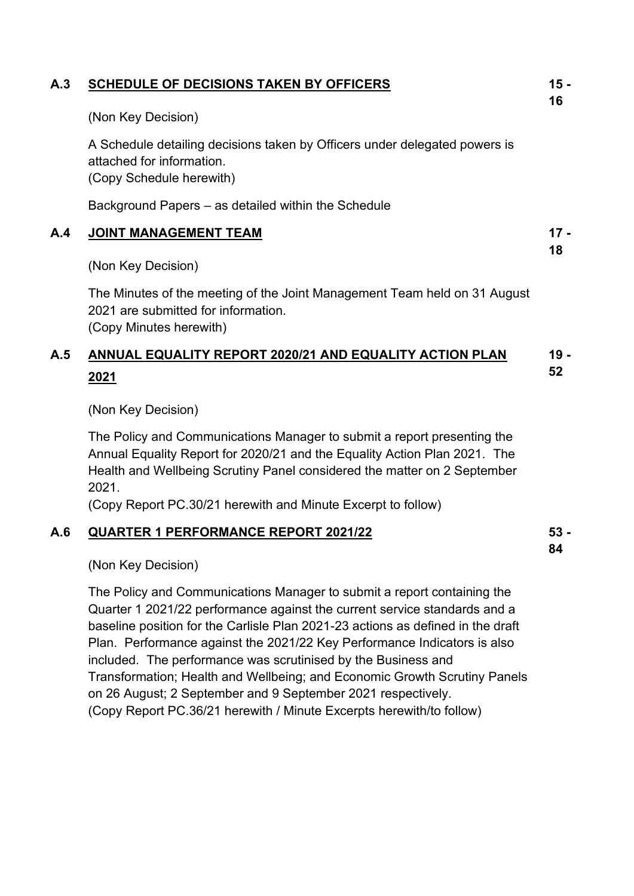| A.3 | <b>SCHEDULE OF DECISIONS TAKEN BY OFFICERS</b>                                                                                                                                                                                            | $15 -$<br>16 |
|-----|-------------------------------------------------------------------------------------------------------------------------------------------------------------------------------------------------------------------------------------------|--------------|
|     | (Non Key Decision)                                                                                                                                                                                                                        |              |
|     | A Schedule detailing decisions taken by Officers under delegated powers is<br>attached for information.<br>(Copy Schedule herewith)                                                                                                       |              |
|     | Background Papers - as detailed within the Schedule                                                                                                                                                                                       |              |
| A.4 | <b>JOINT MANAGEMENT TEAM</b>                                                                                                                                                                                                              | $17 -$       |
|     | (Non Key Decision)                                                                                                                                                                                                                        | 18           |
|     | The Minutes of the meeting of the Joint Management Team held on 31 August<br>2021 are submitted for information.<br>(Copy Minutes herewith)                                                                                               |              |
| A.5 | ANNUAL EQUALITY REPORT 2020/21 AND EQUALITY ACTION PLAN<br>2021                                                                                                                                                                           | $19 -$<br>52 |
|     | (Non Key Decision)                                                                                                                                                                                                                        |              |
|     | The Policy and Communications Manager to submit a report presenting the<br>Annual Equality Report for 2020/21 and the Equality Action Plan 2021. The<br>Health and Wellbeing Scrutiny Panel considered the matter on 2 September<br>2021. |              |
|     | (Copy Report PC.30/21 herewith and Minute Excerpt to follow)                                                                                                                                                                              |              |
| A.6 | <b>QUARTER 1 PERFORMANCE REPORT 2021/22</b>                                                                                                                                                                                               | $53 -$<br>84 |
|     | (Non Key Decision)                                                                                                                                                                                                                        |              |
|     | The Policy and Communications Manager to submit a report containing the                                                                                                                                                                   |              |

The Policy and Communications Manager to submit a report containing the Quarter 1 2021/22 performance against the current service standards and a baseline position for the Carlisle Plan 2021-23 actions as defined in the draft Plan. Performance against the 2021/22 Key Performance Indicators is also included. The performance was scrutinised by the Business and Transformation; Health and Wellbeing; and Economic Growth Scrutiny Panels on 26 August; 2 September and 9 September 2021 respectively. (Copy Report PC.36/21 herewith / Minute Excerpts herewith/to follow)